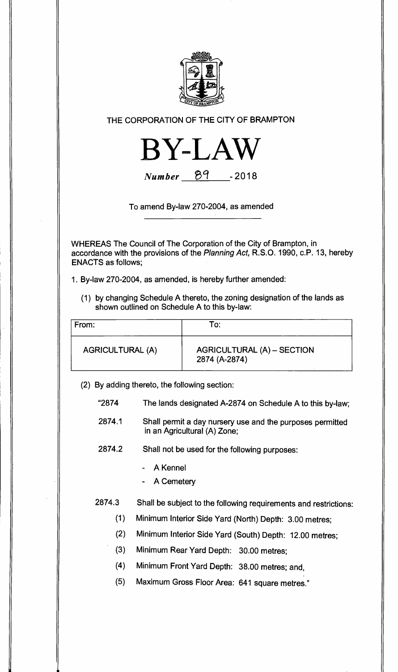

## **THE CORPORATION OF THE CITY OF BRAMPTON**



**Number**  $\frac{89}{100}$  - 2018

**To amend By-law 270-2004, as amended** 

**WHEREAS The Council of The Corporation of the City of Brampton, in accordance with the provisions of the Planning Act, R.S.O. 1990, c.P. 13, hereby ENACTS as follows;** 

**1. By-law 270-2004, as amended, is hereby further amended:** 

**(1) by changing Schedule A thereto, the zoning designation of the lands as shown outlined on Schedule A to this by-law:** 

| From:                   | To:                                         |
|-------------------------|---------------------------------------------|
| <b>AGRICULTURAL (A)</b> | AGRICULTURAL (A) - SECTION<br>2874 (A-2874) |

**(2) By adding thereto, the following section:** 

| "2874" | The lands designated A-2874 on Schedule A to this by-law; |
|--------|-----------------------------------------------------------|
|--------|-----------------------------------------------------------|

**2874.1 Shall permit a day nursery use and the purposes permitted in an Agricultural (A) Zone;** 

**2874.2 Shall not be used for the following purposes:** 

- **A Kennel**
- **A Cemetery**

# **2874.3 Shall be subject to the following requirements and restrictions:**

- **(1) Minimum Interior Side Yard (North) Depth: 3.00 metres;**
- **(2) Minimum Interior Side Yard (South) Depth: 12.00 metres;**
- **(3) Minimum Rear Yard Depth: 30.00 metres;**
- **(4) Minimum Front Yard Depth: 38.00 metres; and,**
- **(5) Maximum Gross Floor Area: 641 square metres."**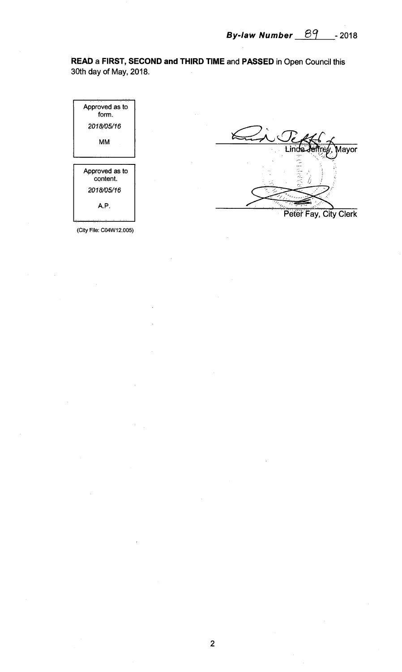**READ a FIRST, SECOND and THIRD TIME** and **PASSED** in Open Council this 30th day of May, 2018.



(City File: C04W12.005)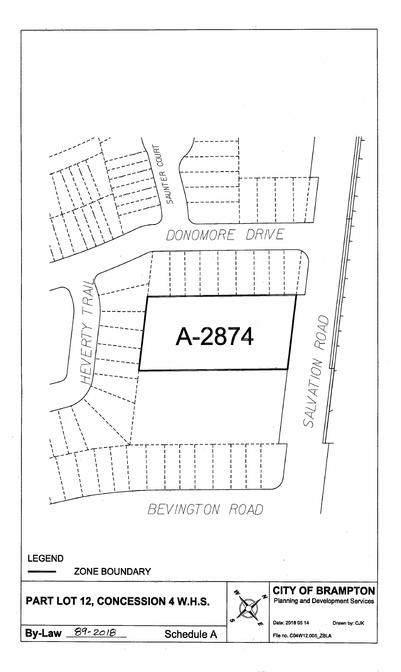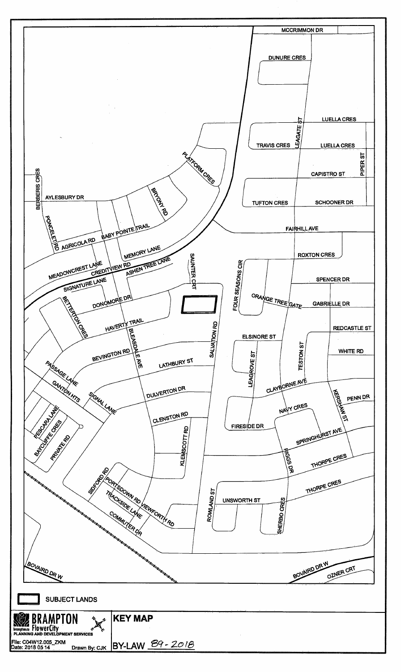